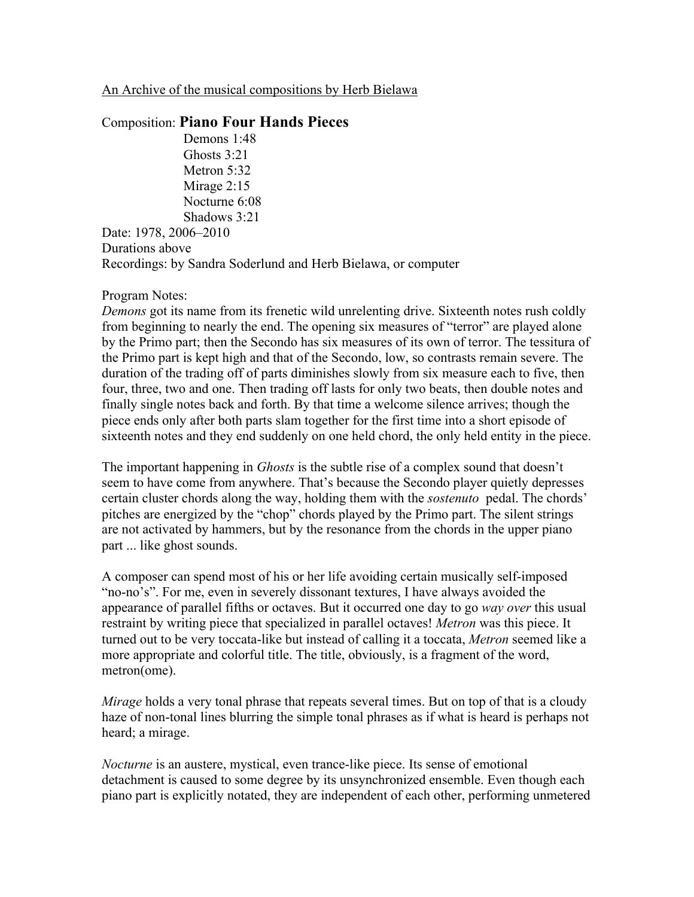## An Archive of the musical compositions by Herb Bielawa

## Composition: **Piano Four Hands Pieces**

Demons 1:48 Ghosts 3:21 Metron 5:32 Mirage 2:15 Nocturne 6:08 Shadows 3:21

Date: 1978, 2006–2010 Durations above Recordings: by Sandra Soderlund and Herb Bielawa, or computer

## Program Notes:

*Demons* got its name from its frenetic wild unrelenting drive. Sixteenth notes rush coldly from beginning to nearly the end. The opening six measures of "terror" are played alone by the Primo part; then the Secondo has six measures of its own of terror. The tessitura of the Primo part is kept high and that of the Secondo, low, so contrasts remain severe. The duration of the trading off of parts diminishes slowly from six measure each to five, then four, three, two and one. Then trading off lasts for only two beats, then double notes and finally single notes back and forth. By that time a welcome silence arrives; though the piece ends only after both parts slam together for the first time into a short episode of sixteenth notes and they end suddenly on one held chord, the only held entity in the piece.

The important happening in *Ghosts* is the subtle rise of a complex sound that doesn't seem to have come from anywhere. That's because the Secondo player quietly depresses certain cluster chords along the way, holding them with the *sostenuto* pedal. The chords' pitches are energized by the "chop" chords played by the Primo part. The silent strings are not activated by hammers, but by the resonance from the chords in the upper piano part ... like ghost sounds.

A composer can spend most of his or her life avoiding certain musically self-imposed "no-no's". For me, even in severely dissonant textures, I have always avoided the appearance of parallel fifths or octaves. But it occurred one day to go *way over* this usual restraint by writing piece that specialized in parallel octaves! *Metron* was this piece. It turned out to be very toccata-like but instead of calling it a toccata, *Metron* seemed like a more appropriate and colorful title. The title, obviously, is a fragment of the word, metron(ome).

*Mirage* holds a very tonal phrase that repeats several times. But on top of that is a cloudy haze of non-tonal lines blurring the simple tonal phrases as if what is heard is perhaps not heard; a mirage.

*Nocturne* is an austere, mystical, even trance-like piece. Its sense of emotional detachment is caused to some degree by its unsynchronized ensemble. Even though each piano part is explicitly notated, they are independent of each other, performing unmetered